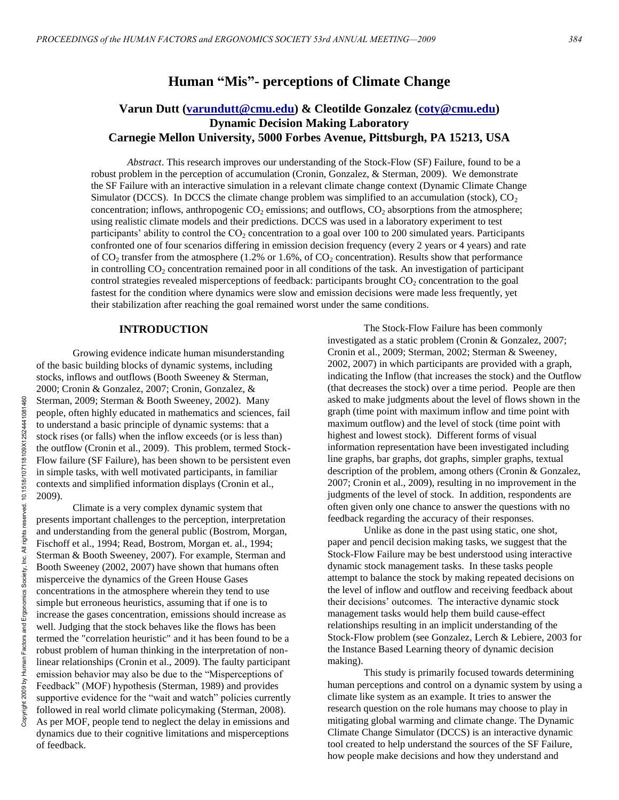# **Human "Mis"- perceptions of Climate Change**

# **Varun Dutt [\(varundutt@cmu.edu\)](mailto:varundutt@cmu.edu) & Cleotilde Gonzalez [\(coty@cmu.edu\)](mailto:coty@cmu.edu) Dynamic Decision Making Laboratory Carnegie Mellon University, 5000 Forbes Avenue, Pittsburgh, PA 15213, USA**

*Abstract*. This research improves our understanding of the Stock-Flow (SF) Failure, found to be a robust problem in the perception of accumulation (Cronin, Gonzalez, & Sterman, 2009). We demonstrate the SF Failure with an interactive simulation in a relevant climate change context (Dynamic Climate Change Simulator (DCCS). In DCCS the climate change problem was simplified to an accumulation (stock),  $CO<sub>2</sub>$ concentration; inflows, anthropogenic  $CO_2$  emissions; and outflows,  $CO_2$  absorptions from the atmosphere; using realistic climate models and their predictions. DCCS was used in a laboratory experiment to test participants' ability to control the  $CO<sub>2</sub>$  concentration to a goal over 100 to 200 simulated years. Participants confronted one of four scenarios differing in emission decision frequency (every 2 years or 4 years) and rate of  $CO_2$  transfer from the atmosphere (1.2% or 1.6%, of  $CO_2$  concentration). Results show that performance in controlling  $CO<sub>2</sub>$  concentration remained poor in all conditions of the task. An investigation of participant control strategies revealed misperceptions of feedback: participants brought  $CO<sub>2</sub>$  concentration to the goal fastest for the condition where dynamics were slow and emission decisions were made less frequently, yet their stabilization after reaching the goal remained worst under the same conditions.

## **INTRODUCTION**

Growing evidence indicate human misunderstanding of the basic building blocks of dynamic systems, including stocks, inflows and outflows (Booth Sweeney & Sterman, 2000; Cronin & Gonzalez, 2007; Cronin, Gonzalez, & Sterman, 2009; Sterman & Booth Sweeney, 2002). Many people, often highly educated in mathematics and sciences, fail to understand a basic principle of dynamic systems: that a stock rises (or falls) when the inflow exceeds (or is less than) the outflow (Cronin et al., 2009). This problem, termed Stock-Flow failure (SF Failure), has been shown to be persistent even in simple tasks, with well motivated participants, in familiar contexts and simplified information displays (Cronin et al., 2009).

Climate is a very complex dynamic system that presents important challenges to the perception, interpretation and understanding from the general public (Bostrom, Morgan, Fischoff et al., 1994; Read, Bostrom, Morgan et. al., 1994; Sterman & Booth Sweeney, 2007). For example, Sterman and Booth Sweeney (2002, 2007) have shown that humans often misperceive the dynamics of the Green House Gases concentrations in the atmosphere wherein they tend to use simple but erroneous heuristics, assuming that if one is to increase the gases concentration, emissions should increase as well. Judging that the stock behaves like the flows has been termed the "correlation heuristic" and it has been found to be a robust problem of human thinking in the interpretation of nonlinear relationships (Cronin et al., 2009). The faulty participant emission behavior may also be due to the "Misperceptions of Feedback" (MOF) hypothesis (Sterman, 1989) and provides supportive evidence for the "wait and watch" policies currently followed in real world climate policymaking (Sterman, 2008). As per MOF, people tend to neglect the delay in emissions and dynamics due to their cognitive limitations and misperceptions of feedback.

The Stock-Flow Failure has been commonly investigated as a static problem (Cronin & Gonzalez, 2007; Cronin et al., 2009; Sterman, 2002; Sterman & Sweeney, 2002, 2007) in which participants are provided with a graph, indicating the Inflow (that increases the stock) and the Outflow (that decreases the stock) over a time period. People are then asked to make judgments about the level of flows shown in the graph (time point with maximum inflow and time point with maximum outflow) and the level of stock (time point with highest and lowest stock). Different forms of visual information representation have been investigated including line graphs, bar graphs, dot graphs, simpler graphs, textual description of the problem, among others (Cronin & Gonzalez, 2007; Cronin et al., 2009), resulting in no improvement in the judgments of the level of stock. In addition, respondents are often given only one chance to answer the questions with no feedback regarding the accuracy of their responses.

Unlike as done in the past using static, one shot, paper and pencil decision making tasks, we suggest that the Stock-Flow Failure may be best understood using interactive dynamic stock management tasks. In these tasks people attempt to balance the stock by making repeated decisions on the level of inflow and outflow and receiving feedback about their decisions' outcomes. The interactive dynamic stock management tasks would help them build cause-effect relationships resulting in an implicit understanding of the Stock-Flow problem (see Gonzalez, Lerch & Lebiere, 2003 for the Instance Based Learning theory of dynamic decision making).

This study is primarily focused towards determining human perceptions and control on a dynamic system by using a climate like system as an example. It tries to answer the research question on the role humans may choose to play in mitigating global warming and climate change. The Dynamic Climate Change Simulator (DCCS) is an interactive dynamic tool created to help understand the sources of the SF Failure, how people make decisions and how they understand and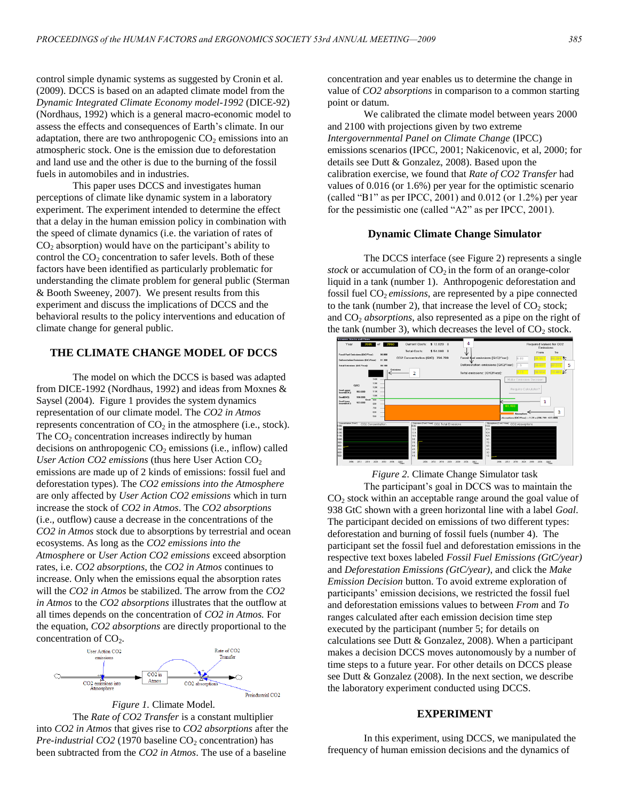control simple dynamic systems as suggested by Cronin et al. (2009). DCCS is based on an adapted climate model from the *Dynamic Integrated Climate Economy model-1992* (DICE-92) (Nordhaus, 1992) which is a general macro-economic model to assess the effects and consequences of Earth's climate. In our adaptation, there are two anthropogenic  $CO<sub>2</sub>$  emissions into an atmospheric stock. One is the emission due to deforestation and land use and the other is due to the burning of the fossil fuels in automobiles and in industries.

This paper uses DCCS and investigates human perceptions of climate like dynamic system in a laboratory experiment. The experiment intended to determine the effect that a delay in the human emission policy in combination with the speed of climate dynamics (i.e. the variation of rates of  $CO<sub>2</sub>$  absorption) would have on the participant's ability to control the  $CO<sub>2</sub>$  concentration to safer levels. Both of these factors have been identified as particularly problematic for understanding the climate problem for general public (Sterman & Booth Sweeney, 2007). We present results from this experiment and discuss the implications of DCCS and the behavioral results to the policy interventions and education of climate change for general public.

## **THE CLIMATE CHANGE MODEL OF DCCS**

The model on which the DCCS is based was adapted from DICE-1992 (Nordhaus, 1992) and ideas from Moxnes & Saysel (2004). Figure 1 provides the system dynamics representation of our climate model. The *CO2 in Atmos* represents concentration of  $CO<sub>2</sub>$  in the atmosphere (i.e., stock). The  $CO<sub>2</sub>$  concentration increases indirectly by human decisions on anthropogenic  $CO<sub>2</sub>$  emissions (i.e., inflow) called *User Action CO2 emissions* (thus here User Action  $CO<sub>2</sub>$ emissions are made up of 2 kinds of emissions: fossil fuel and deforestation types). The *CO2 emissions into the Atmosphere* are only affected by *User Action CO2 emissions* which in turn increase the stock of *CO2 in Atmos*. The *CO2 absorptions* (i.e., outflow) cause a decrease in the concentrations of the *CO2 in Atmos* stock due to absorptions by terrestrial and ocean ecosystems. As long as the *CO2 emissions into the Atmosphere* or *User Action CO2 emissions* exceed absorption rates, i.e. *CO2 absorptions*, the *CO2 in Atmos* continues to increase. Only when the emissions equal the absorption rates will the *CO2 in Atmos* be stabilized. The arrow from the *CO2 in Atmos* to the *CO2 absorptions* illustrates that the outflow at all times depends on the concentration of *CO2 in Atmos.* For the equation, *CO2 absorptions* are directly proportional to the concentration of  $CO<sub>2</sub>$ .



*Figure 1.* Climate Model*.* The *Rate of CO2 Transfer* is a constant multiplier into *CO2 in Atmos* that gives rise to *CO2 absorptions* after the *Pre-industrial CO2* (1970 baseline  $CO<sub>2</sub>$  concentration) has been subtracted from the *CO2 in Atmos*. The use of a baseline

concentration and year enables us to determine the change in value of *CO2 absorptions* in comparison to a common starting point or datum.

We calibrated the climate model between years 2000 and 2100 with projections given by two extreme *Intergovernmental Panel on Climate Change* (IPCC) emissions scenarios (IPCC, 2001; Nakicenovic, et al, 2000; for details see Dutt & Gonzalez, 2008). Based upon the calibration exercise, we found that *Rate of CO2 Transfer* had values of 0.016 (or 1.6%) per year for the optimistic scenario (called "B1" as per IPCC, 2001) and  $0.012$  (or 1.2%) per year for the pessimistic one (called "A2" as per IPCC, 2001).

#### **Dynamic Climate Change Simulator**

The DCCS interface (see Figure 2) represents a single *stock* or accumulation of  $CO<sub>2</sub>$  in the form of an orange-color liquid in a tank (number 1). Anthropogenic deforestation and fossil fuel CO<sub>2</sub> emissions, are represented by a pipe connected to the tank (number 2), that increase the level of  $CO<sub>2</sub>$  stock; and CO<sub>2</sub> *absorptions*, also represented as a pipe on the right of the tank (number 3), which decreases the level of  $CO<sub>2</sub>$  stock.



*Figure 2.* Climate Change Simulator task

The participant's goal in DCCS was to maintain the  $CO<sub>2</sub>$  stock within an acceptable range around the goal value of 938 GtC shown with a green horizontal line with a label *Goal*. The participant decided on emissions of two different types: deforestation and burning of fossil fuels (number 4). The participant set the fossil fuel and deforestation emissions in the respective text boxes labeled *Fossil Fuel Emissions (GtC/year)* and *Deforestation Emissions (GtC/year)*, and click the *Make Emission Decision* button. To avoid extreme exploration of participants' emission decisions, we restricted the fossil fuel and deforestation emissions values to between *From* and *To* ranges calculated after each emission decision time step executed by the participant (number 5; for details on calculations see Dutt & Gonzalez, 2008). When a participant makes a decision DCCS moves autonomously by a number of time steps to a future year. For other details on DCCS please see Dutt & Gonzalez (2008). In the next section, we describe the laboratory experiment conducted using DCCS.

### **EXPERIMENT**

In this experiment, using DCCS, we manipulated the frequency of human emission decisions and the dynamics of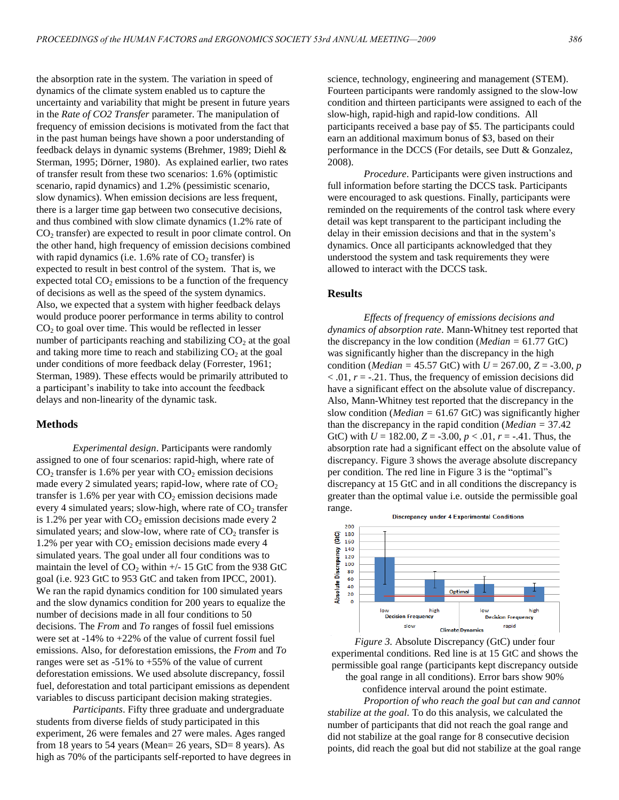the absorption rate in the system. The variation in speed of dynamics of the climate system enabled us to capture the uncertainty and variability that might be present in future years in the *Rate of CO2 Transfer* parameter. The manipulation of frequency of emission decisions is motivated from the fact that in the past human beings have shown a poor understanding of feedback delays in dynamic systems (Brehmer, 1989; Diehl & Sterman, 1995; Dörner, 1980). As explained earlier, two rates of transfer result from these two scenarios: 1.6% (optimistic scenario, rapid dynamics) and 1.2% (pessimistic scenario, slow dynamics). When emission decisions are less frequent, there is a larger time gap between two consecutive decisions, and thus combined with slow climate dynamics (1.2% rate of CO<sup>2</sup> transfer) are expected to result in poor climate control. On the other hand, high frequency of emission decisions combined with rapid dynamics (i.e.  $1.6\%$  rate of  $CO<sub>2</sub>$  transfer) is expected to result in best control of the system. That is, we expected total  $CO<sub>2</sub>$  emissions to be a function of the frequency of decisions as well as the speed of the system dynamics. Also, we expected that a system with higher feedback delays would produce poorer performance in terms ability to control  $CO<sub>2</sub>$  to goal over time. This would be reflected in lesser number of participants reaching and stabilizing  $CO<sub>2</sub>$  at the goal and taking more time to reach and stabilizing  $CO<sub>2</sub>$  at the goal under conditions of more feedback delay (Forrester, 1961; Sterman, 1989). These effects would be primarily attributed to a participant's inability to take into account the feedback delays and non-linearity of the dynamic task.

### **Methods**

*Experimental design*. Participants were randomly assigned to one of four scenarios: rapid-high, where rate of  $CO<sub>2</sub>$  transfer is 1.6% per year with  $CO<sub>2</sub>$  emission decisions made every 2 simulated years; rapid-low, where rate of  $CO<sub>2</sub>$ transfer is 1.6% per year with  $CO<sub>2</sub>$  emission decisions made every 4 simulated years; slow-high, where rate of  $CO<sub>2</sub>$  transfer is 1.2% per year with  $CO<sub>2</sub>$  emission decisions made every 2 simulated years; and slow-low, where rate of  $CO<sub>2</sub>$  transfer is 1.2% per year with  $CO<sub>2</sub>$  emission decisions made every 4 simulated years. The goal under all four conditions was to maintain the level of  $CO_2$  within  $+/- 15$  GtC from the 938 GtC goal (i.e. 923 GtC to 953 GtC and taken from IPCC, 2001). We ran the rapid dynamics condition for 100 simulated years and the slow dynamics condition for 200 years to equalize the number of decisions made in all four conditions to 50 decisions. The *From* and *To* ranges of fossil fuel emissions were set at -14% to +22% of the value of current fossil fuel emissions. Also, for deforestation emissions, the *From* and *To* ranges were set as -51% to +55% of the value of current deforestation emissions. We used absolute discrepancy, fossil fuel, deforestation and total participant emissions as dependent variables to discuss participant decision making strategies.

*Participants*. Fifty three graduate and undergraduate students from diverse fields of study participated in this experiment, 26 were females and 27 were males. Ages ranged from 18 years to 54 years (Mean= 26 years, SD= 8 years). As high as 70% of the participants self-reported to have degrees in science, technology, engineering and management (STEM). Fourteen participants were randomly assigned to the slow-low condition and thirteen participants were assigned to each of the slow-high, rapid-high and rapid-low conditions. All participants received a base pay of \$5. The participants could earn an additional maximum bonus of \$3, based on their performance in the DCCS (For details, see Dutt & Gonzalez, 2008).

*Procedure*. Participants were given instructions and full information before starting the DCCS task. Participants were encouraged to ask questions. Finally, participants were reminded on the requirements of the control task where every detail was kept transparent to the participant including the delay in their emission decisions and that in the system's dynamics. Once all participants acknowledged that they understood the system and task requirements they were allowed to interact with the DCCS task.

#### **Results**

*Effects of frequency of emissions decisions and dynamics of absorption rate*. Mann-Whitney test reported that the discrepancy in the low condition (*Median =* 61.77 GtC) was significantly higher than the discrepancy in the high condition (*Median =* 45.57 GtC) with *U* = 267.00, *Z* = -3.00, *p*   $< .01, r = -.21$ . Thus, the frequency of emission decisions did have a significant effect on the absolute value of discrepancy. Also, Mann-Whitney test reported that the discrepancy in the slow condition (*Median =* 61.67 GtC) was significantly higher than the discrepancy in the rapid condition (*Median =* 37.42 GtC) with  $U = 182.00$ ,  $Z = -3.00$ ,  $p < .01$ ,  $r = -.41$ . Thus, the absorption rate had a significant effect on the absolute value of discrepancy. Figure 3 shows the average absolute discrepancy per condition. The red line in Figure 3 is the "optimal"s discrepancy at 15 GtC and in all conditions the discrepancy is greater than the optimal value i.e. outside the permissible goal range.



*Figure 3.* Absolute Discrepancy (GtC) under four experimental conditions. Red line is at 15 GtC and shows the permissible goal range (participants kept discrepancy outside the goal range in all conditions). Error bars show 90%

confidence interval around the point estimate.

*Proportion of who reach the goal but can and cannot stabilize at the goal.* To do this analysis, we calculated the number of participants that did not reach the goal range and did not stabilize at the goal range for 8 consecutive decision points, did reach the goal but did not stabilize at the goal range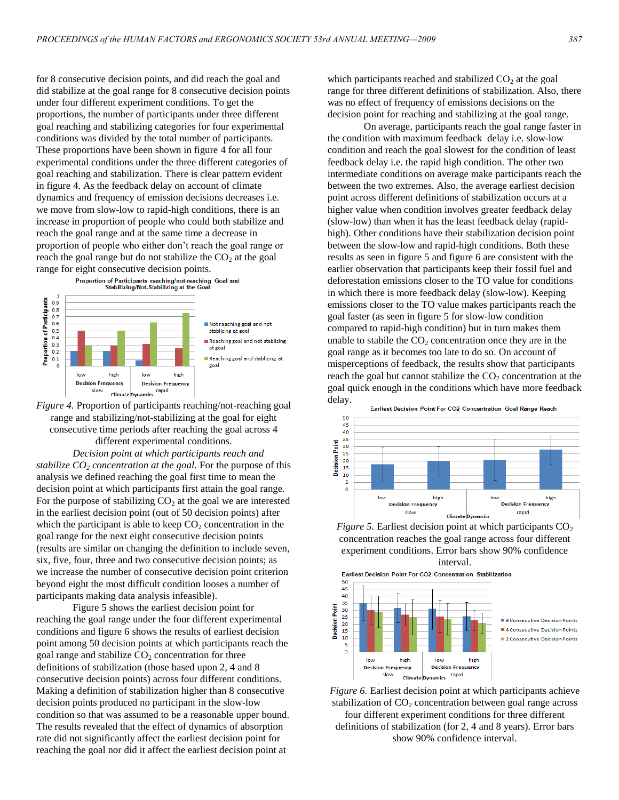for 8 consecutive decision points, and did reach the goal and did stabilize at the goal range for 8 consecutive decision points under four different experiment conditions. To get the proportions, the number of participants under three different goal reaching and stabilizing categories for four experimental conditions was divided by the total number of participants. These proportions have been shown in figure 4 for all four experimental conditions under the three different categories of goal reaching and stabilization. There is clear pattern evident in figure 4. As the feedback delay on account of climate dynamics and frequency of emission decisions decreases i.e. we move from slow-low to rapid-high conditions, there is an increase in proportion of people who could both stabilize and reach the goal range and at the same time a decrease in proportion of people who either don't reach the goal range or reach the goal range but do not stabilize the  $CO<sub>2</sub>$  at the goal range for eight consecutive decision points.



*Figure 4.* Proportion of participants reaching/not-reaching goal range and stabilizing/not-stabilizing at the goal for eight consecutive time periods after reaching the goal across 4 different experimental conditions.

*Decision point at which participants reach and stabilize CO<sup>2</sup> concentration at the goal.* For the purpose of this analysis we defined reaching the goal first time to mean the decision point at which participants first attain the goal range. For the purpose of stabilizing  $CO<sub>2</sub>$  at the goal we are interested in the earliest decision point (out of 50 decision points) after which the participant is able to keep  $CO<sub>2</sub>$  concentration in the goal range for the next eight consecutive decision points (results are similar on changing the definition to include seven, six, five, four, three and two consecutive decision points; as we increase the number of consecutive decision point criterion beyond eight the most difficult condition looses a number of participants making data analysis infeasible).

Figure 5 shows the earliest decision point for reaching the goal range under the four different experimental conditions and figure 6 shows the results of earliest decision point among 50 decision points at which participants reach the goal range and stabilize  $CO<sub>2</sub>$  concentration for three definitions of stabilization (those based upon 2, 4 and 8 consecutive decision points) across four different conditions. Making a definition of stabilization higher than 8 consecutive decision points produced no participant in the slow-low condition so that was assumed to be a reasonable upper bound. The results revealed that the effect of dynamics of absorption rate did not significantly affect the earliest decision point for reaching the goal nor did it affect the earliest decision point at

which participants reached and stabilized  $CO<sub>2</sub>$  at the goal range for three different definitions of stabilization. Also, there was no effect of frequency of emissions decisions on the decision point for reaching and stabilizing at the goal range.

On average, participants reach the goal range faster in the condition with maximum feedback delay i.e. slow-low condition and reach the goal slowest for the condition of least feedback delay i.e. the rapid high condition. The other two intermediate conditions on average make participants reach the between the two extremes. Also, the average earliest decision point across different definitions of stabilization occurs at a higher value when condition involves greater feedback delay (slow-low) than when it has the least feedback delay (rapidhigh). Other conditions have their stabilization decision point between the slow-low and rapid-high conditions. Both these results as seen in figure 5 and figure 6 are consistent with the earlier observation that participants keep their fossil fuel and deforestation emissions closer to the TO value for conditions in which there is more feedback delay (slow-low). Keeping emissions closer to the TO value makes participants reach the goal faster (as seen in figure 5 for slow-low condition compared to rapid-high condition) but in turn makes them unable to stabile the  $CO<sub>2</sub>$  concentration once they are in the goal range as it becomes too late to do so. On account of misperceptions of feedback, the results show that participants reach the goal but cannot stabilize the  $CO<sub>2</sub>$  concentration at the goal quick enough in the conditions which have more feedback delay.



*Figure 5.* Earliest decision point at which participants  $CO<sub>2</sub>$ concentration reaches the goal range across four different experiment conditions. Error bars show 90% confidence

interval.





*Figure 6.* Earliest decision point at which participants achieve stabilization of  $CO<sub>2</sub>$  concentration between goal range across four different experiment conditions for three different definitions of stabilization (for 2, 4 and 8 years). Error bars show 90% confidence interval.